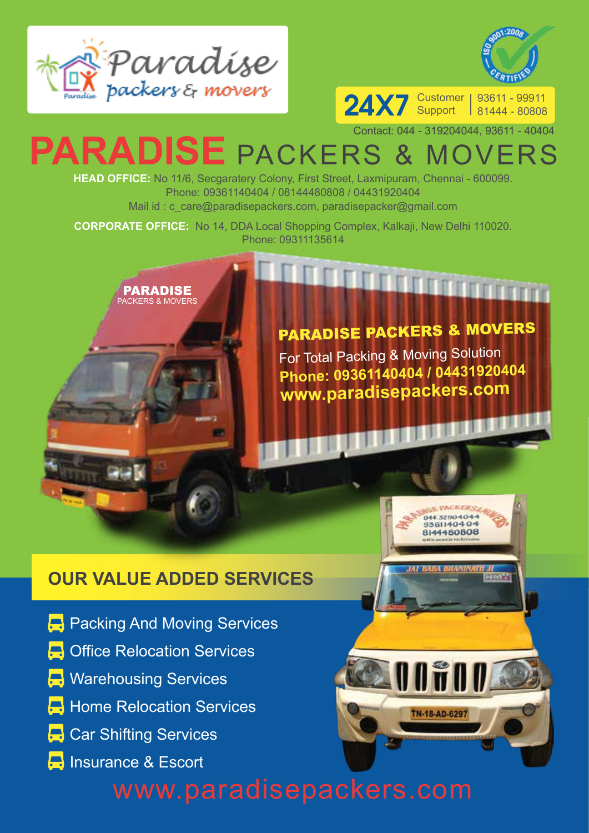



24X7 Support 93611 - 99911 81444 - 80808

## **PARADISE** PACKERS & MOVERS Contact: 044 - 319204044, 93611 - 40404

**HEAD OFFICE:** No 11/6, Secgaratery Colony, First Street, Laxmipuram, Chennai - 600099. Phone: 09361140404 / 08144480808 / 04431920404 Mail id: c\_care@paradisepackers.com, paradisepacker@gmail.com

**CORPORATE OFFICE:** No 14, DDA Local Shopping Complex, Kalkaji, New Delhi 110020. Phone: 09311135614



## PARADISE PACKERS & MOVERS

**A TANAH PENGANA** 

**BULLER AND** 

044.32904044 9361140404 8144480808

TN-18-AD-6297

For Total Packing & Moving Solution **Phone: 09361140404 / 04431920404 www.paradisepackers.com**

## **OUR VALUE ADDED SERVICES**

- 
- **Packing And Moving Services**
- **C** Office Relocation Services
- **B** Warehousing Services

TN18k - 0235

- **Home Relocation Services**
- **Car Shifting Services**
- **B** Insurance & Escort

## www.paradisepackers.com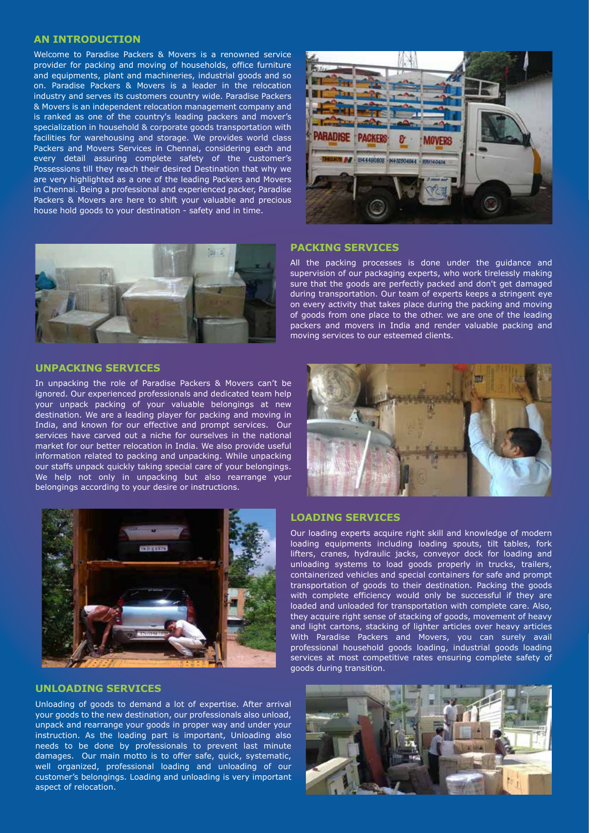#### **AN INTRODUCTION**

Welcome to Paradise Packers & Movers is a renowned service provider for packing and moving of households, office furniture and equipments, plant and machineries, industrial goods and so on. Paradise Packers & Movers is a leader in the relocation industry and serves its customers country wide. Paradise Packers & Movers is an independent relocation management company and is ranked as one of the country's leading packers and mover's specialization in household & corporate goods transportation with facilities for warehousing and storage. We provides world class Packers and Movers Services in Chennai, considering each and every detail assuring complete safety of the customer's Possessions till they reach their desired Destination that why we are very highlighted as a one of the leading Packers and Movers in Chennai. Being a professional and experienced packer, Paradise Packers & Movers are here to shift your valuable and precious house hold goods to your destination - safety and in time.



#### **PACKING SERVICES**

All the packing processes is done under the guidance and supervision of our packaging experts, who work tirelessly making sure that the goods are perfectly packed and don't get damaged during transportation. Our team of experts keeps a stringent eye on every activity that takes place during the packing and moving of goods from one place to the other. we are one of the leading packers and movers in India and render valuable packing and moving services to our esteemed clients.

#### **UNPACKING SERVICES**

In unpacking the role of Paradise Packers & Movers can't be ignored. Our experienced professionals and dedicated team help your unpack packing of your valuable belongings at new destination. We are a leading player for packing and moving in India, and known for our effective and prompt services. Our services have carved out a niche for ourselves in the national market for our better relocation in India. We also provide useful information related to packing and unpacking. While unpacking our staffs unpack quickly taking special care of your belongings. We help not only in unpacking but also rearrange your belongings according to your desire or instructions.





#### **UNLOADING SERVICES**

Unloading of goods to demand a lot of expertise. After arrival your goods to the new destination, our professionals also unload, unpack and rearrange your goods in proper way and under your instruction. As the loading part is important, Unloading also needs to be done by professionals to prevent last minute damages. Our main motto is to offer safe, quick, systematic, well organized, professional loading and unloading of our customer's belongings. Loading and unloading is very important aspect of relocation.

#### **LOADING SERVICES**

Our loading experts acquire right skill and knowledge of modern loading equipments including loading spouts, tilt tables, fork lifters, cranes, hydraulic jacks, conveyor dock for loading and unloading systems to load goods properly in trucks, trailers, containerized vehicles and special containers for safe and prompt transportation of goods to their destination. Packing the goods with complete efficiency would only be successful if they are loaded and unloaded for transportation with complete care. Also, they acquire right sense of stacking of goods, movement of heavy and light cartons, stacking of lighter articles over heavy articles With Paradise Packers and Movers, you can surely avail professional household goods loading, industrial goods loading services at most competitive rates ensuring complete safety of goods during transition.

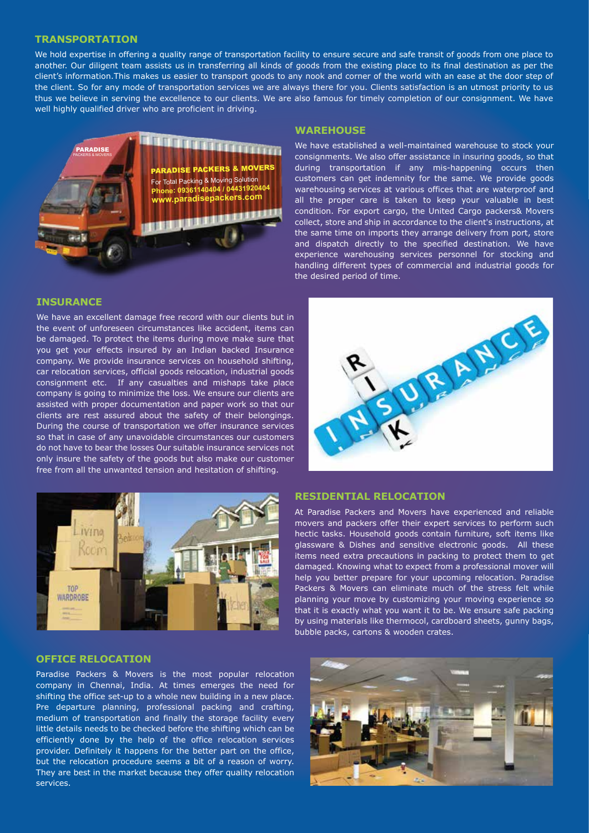#### **TRANSPORTATION**

We hold expertise in offering a quality range of transportation facility to ensure secure and safe transit of goods from one place to another. Our diligent team assists us in transferring all kinds of goods from the existing place to its final destination as per the client's information.This makes us easier to transport goods to any nook and corner of the world with an ease at the door step of the client. So for any mode of transportation services we are always there for you. Clients satisfaction is an utmost priority to us thus we believe in serving the excellence to our clients. We are also famous for timely completion of our consignment. We have well highly qualified driver who are proficient in driving.



#### **INSURANCE**

We have an excellent damage free record with our clients but in the event of unforeseen circumstances like accident, items can be damaged. To protect the items during move make sure that you get your effects insured by an Indian backed Insurance company. We provide insurance services on household shifting, car relocation services, official goods relocation, industrial goods consignment etc. If any casualties and mishaps take place company is going to minimize the loss. We ensure our clients are assisted with proper documentation and paper work so that our clients are rest assured about the safety of their belongings. During the course of transportation we offer insurance services so that in case of any unavoidable circumstances our customers do not have to bear the losses Our suitable insurance services not only insure the safety of the goods but also make our customer free from all the unwanted tension and hesitation of shifting.



#### **OFFICE RELOCATION**

Paradise Packers & Movers is the most popular relocation company in Chennai, India. At times emerges the need for shifting the office set-up to a whole new building in a new place. Pre departure planning, professional packing and crafting, medium of transportation and finally the storage facility every little details needs to be checked before the shifting which can be efficiently done by the help of the office relocation services provider. Definitely it happens for the better part on the office, but the relocation procedure seems a bit of a reason of worry. They are best in the market because they offer quality relocation services.

#### **WAREHOUSE**

We have established a well-maintained warehouse to stock your consignments. We also offer assistance in insuring goods, so that during transportation if any mis-happening occurs then customers can get indemnity for the same. We provide goods warehousing services at various offices that are waterproof and all the proper care is taken to keep your valuable in best condition. For export cargo, the United Cargo packers& Movers collect, store and ship in accordance to the client's instructions, at the same time on imports they arrange delivery from port, store and dispatch directly to the specified destination. We have experience warehousing services personnel for stocking and handling different types of commercial and industrial goods for the desired period of time.



#### **RESIDENTIAL RELOCATION**

At Paradise Packers and Movers have experienced and reliable movers and packers offer their expert services to perform such hectic tasks. Household goods contain furniture, soft items like glassware & Dishes and sensitive electronic goods. All these items need extra precautions in packing to protect them to get damaged. Knowing what to expect from a professional mover will help you better prepare for your upcoming relocation. Paradise Packers & Movers can eliminate much of the stress felt while planning your move by customizing your moving experience so that it is exactly what you want it to be. We ensure safe packing by using materials like thermocol, cardboard sheets, gunny bags, bubble packs, cartons & wooden crates.